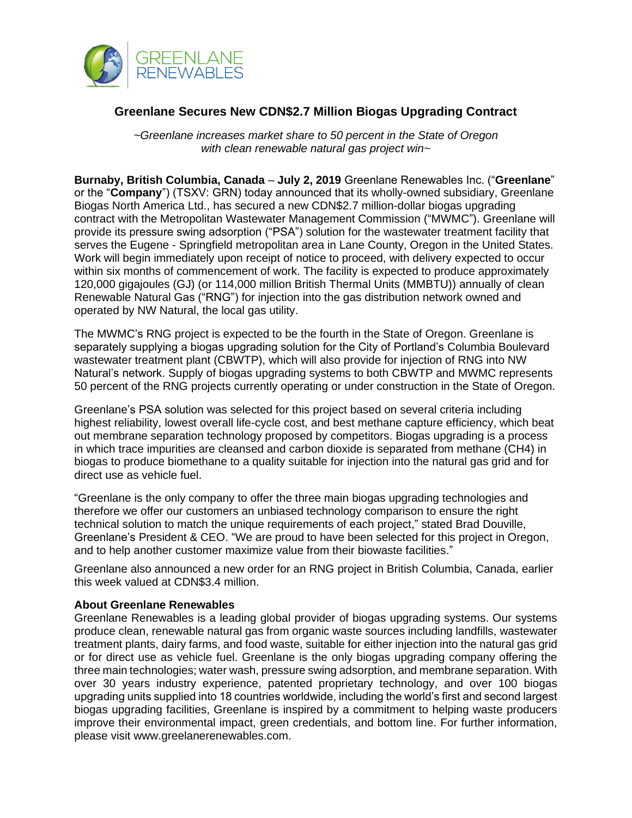

## **Greenlane Secures New CDN\$2.7 Million Biogas Upgrading Contract**

*~Greenlane increases market share to 50 percent in the State of Oregon with clean renewable natural gas project win~*

**Burnaby, British Columbia, Canada** – **July 2, 2019** Greenlane Renewables Inc. ("**Greenlane**" or the "**Company**") (TSXV: GRN) today announced that its wholly-owned subsidiary, Greenlane Biogas North America Ltd., has secured a new CDN\$2.7 million-dollar biogas upgrading contract with the Metropolitan Wastewater Management Commission ("MWMC"). Greenlane will provide its pressure swing adsorption ("PSA") solution for the wastewater treatment facility that serves the Eugene - Springfield metropolitan area in Lane County, Oregon in the United States. Work will begin immediately upon receipt of notice to proceed, with delivery expected to occur within six months of commencement of work. The facility is expected to produce approximately 120,000 gigajoules (GJ) (or 114,000 million British Thermal Units (MMBTU)) annually of clean Renewable Natural Gas ("RNG") for injection into the gas distribution network owned and operated by NW Natural, the local gas utility.

The MWMC's RNG project is expected to be the fourth in the State of Oregon. Greenlane is separately supplying a biogas upgrading solution for the City of Portland's Columbia Boulevard wastewater treatment plant (CBWTP), which will also provide for injection of RNG into NW Natural's network. Supply of biogas upgrading systems to both CBWTP and MWMC represents 50 percent of the RNG projects currently operating or under construction in the State of Oregon.

Greenlane's PSA solution was selected for this project based on several criteria including highest reliability, lowest overall life-cycle cost, and best methane capture efficiency, which beat out membrane separation technology proposed by competitors. Biogas upgrading is a process in which trace impurities are cleansed and carbon dioxide is separated from methane (CH4) in biogas to produce biomethane to a quality suitable for injection into the natural gas grid and for direct use as vehicle fuel.

"Greenlane is the only company to offer the three main biogas upgrading technologies and therefore we offer our customers an unbiased technology comparison to ensure the right technical solution to match the unique requirements of each project," stated Brad Douville, Greenlane's President & CEO. "We are proud to have been selected for this project in Oregon, and to help another customer maximize value from their biowaste facilities."

Greenlane also announced a new order for an RNG project in British Columbia, Canada, earlier this week valued at CDN\$3.4 million.

## **About Greenlane Renewables**

Greenlane Renewables is a leading global provider of biogas upgrading systems. Our systems produce clean, renewable natural gas from organic waste sources including landfills, wastewater treatment plants, dairy farms, and food waste, suitable for either injection into the natural gas grid or for direct use as vehicle fuel. Greenlane is the only biogas upgrading company offering the three main technologies; water wash, pressure swing adsorption, and membrane separation. With over 30 years industry experience, patented proprietary technology, and over 100 biogas upgrading units supplied into 18 countries worldwide, including the world's first and second largest biogas upgrading facilities, Greenlane is inspired by a commitment to helping waste producers improve their environmental impact, green credentials, and bottom line. For further information, please visit www.greelanerenewables.com.